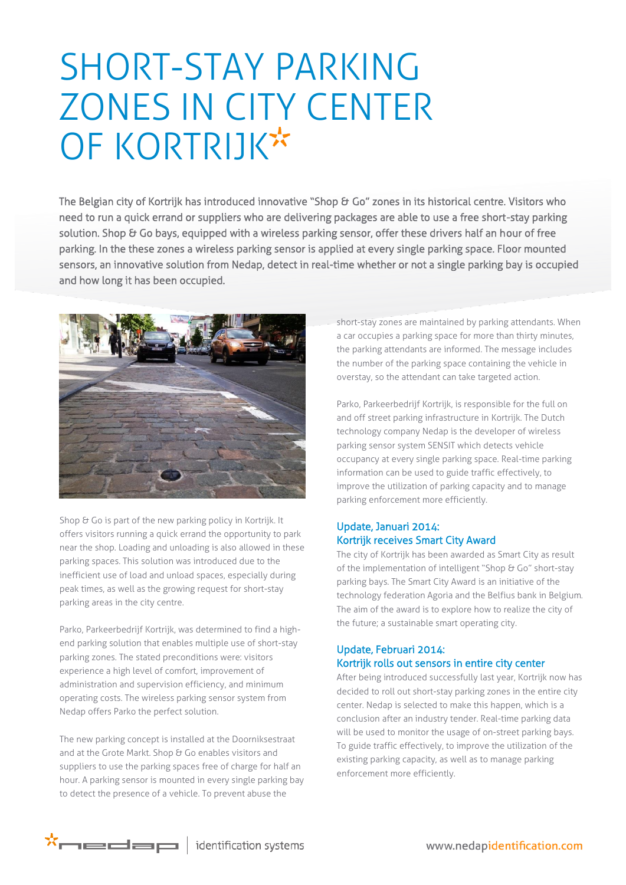## SHORT-STAY PARKING ZONES IN CITY CENTER OF KORTRIJK\*

The Belgian city of Kortrijk has introduced innovative "Shop & Go" zones in its historical centre. Visitors who need to run a quick errand or suppliers who are delivering packages are able to use a free short-stay parking solution. Shop & Go bays, equipped with a wireless parking sensor, offer these drivers half an hour of free parking. In the these zones a wireless parking sensor is applied at every single parking space. Floor mounted sensors, an innovative solution from Nedap, detect in real-time whether or not a single parking bay is occupied and how long it has been occupied.



Shop & Go is part of the new parking policy in Kortrijk. It offers visitors running a quick errand the opportunity to park near the shop. Loading and unloading is also allowed in these parking spaces. This solution was introduced due to the inefficient use of load and unload spaces, especially during peak times, as well as the growing request for short-stay parking areas in the city centre.

Parko, Parkeerbedrijf Kortrijk, was determined to find a highend parking solution that enables multiple use of short-stay parking zones. The stated preconditions were: visitors experience a high level of comfort, improvement of administration and supervision efficiency, and minimum operating costs. The wireless parking sensor system from Nedap offers Parko the perfect solution.

The new parking concept is installed at the Doorniksestraat and at the Grote Markt. Shop & Go enables visitors and suppliers to use the parking spaces free of charge for half an hour. A parking sensor is mounted in every single parking bay to detect the presence of a vehicle. To prevent abuse the

short-stay zones are maintained by parking attendants. When a car occupies a parking space for more than thirty minutes, the parking attendants are informed. The message includes the number of the parking space containing the vehicle in overstay, so the attendant can take targeted action.

Parko, Parkeerbedrijf Kortrijk, is responsible for the full on and off street parking infrastructure in Kortrijk. The Dutch technology company Nedap is the developer of wireless parking sensor system SENSIT which detects vehicle occupancy at every single parking space. Real-time parking information can be used to guide traffic effectively, to improve the utilization of parking capacity and to manage parking enforcement more efficiently.

## Update, Januari 2014: Kortrijk receives Smart City Award

The city of Kortrijk has been awarded as Smart City as result of the implementation of intelligent "Shop & Go" short-stay parking bays. The Smart City Award is an initiative of the technology federation Agoria and the Belfius bank in Belgium. The aim of the award is to explore how to realize the city of the future; a sustainable smart operating city.

## Update, Februari 2014: Kortrijk rolls out sensors in entire city center

After being introduced successfully last year, Kortrijk now has decided to roll out short-stay parking zones in the entire city center. Nedap is selected to make this happen, which is a conclusion after an industry tender. Real-time parking data will be used to monitor the usage of on-street parking bays. To guide traffic effectively, to improve the utilization of the existing parking capacity, as well as to manage parking enforcement more efficiently.

 $\star$  $\sim$   $\equiv$   $\equiv$   $\equiv$   $\mid$  identification systems